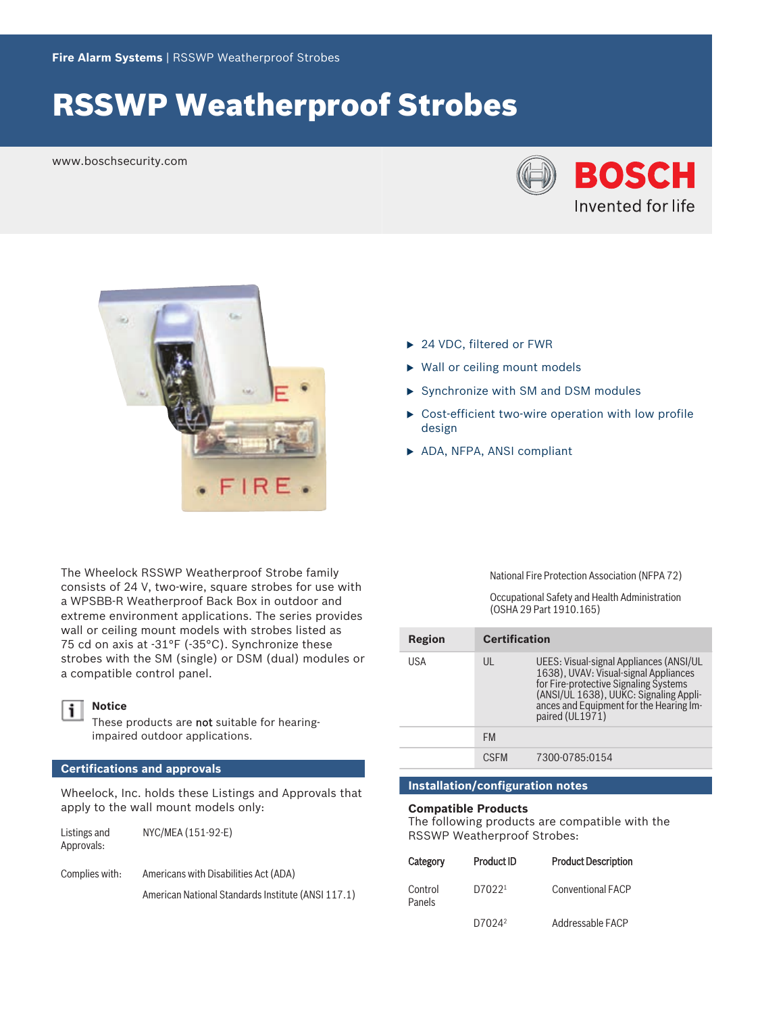# RSSWP Weatherproof Strobes

www.boschsecurity.com





The Wheelock RSSWP Weatherproof Strobe family consists of 24 V, two‑wire, square strobes for use with a WPSBB‑R Weatherproof Back Box in outdoor and extreme environment applications. The series provides wall or ceiling mount models with strobes listed as 75 cd on axis at -31°F (-35°C). Synchronize these strobes with the SM (single) or DSM (dual) modules or a compatible control panel.



## **Notice**

These products are not suitable for hearingimpaired outdoor applications.

### **Certifications and approvals**

Wheelock, Inc. holds these Listings and Approvals that apply to the wall mount models only:

| Listings and | NYC/MEA (151-92-E) |
|--------------|--------------------|
| Approvals:   |                    |

Complies with: Americans with Disabilities Act (ADA) American National Standards Institute (ANSI 117.1)

- ▶ 24 VDC, filtered or FWR
- $\triangleright$  Wall or ceiling mount models
- $\triangleright$  Synchronize with SM and DSM modules
- $\triangleright$  Cost-efficient two-wire operation with low profile design
- ▶ ADA, NFPA, ANSI compliant

National Fire Protection Association (NFPA 72)

Occupational Safety and Health Administration (OSHA 29 Part 1910.165)

| Region | <b>Certification</b> |                                                                                                                                                                                                                                   |
|--------|----------------------|-----------------------------------------------------------------------------------------------------------------------------------------------------------------------------------------------------------------------------------|
| USA    | UL                   | UEES: Visual-signal Appliances (ANSI/UL<br>1638), UVAV: Visual-signal Appliances<br>for Fire-protective Signaling Systems<br>(ANSI/UL 1638), UUKC: Signaling Appli-<br>ances and Equipment for the Hearing Im-<br>paired (UL1971) |
|        | <b>FM</b>            |                                                                                                                                                                                                                                   |
|        | <b>CSEM</b>          | 7300-0785:0154                                                                                                                                                                                                                    |

### **Installation/configuration notes**

#### **Compatible Products**

The following products are compatible with the RSSWP Weatherproof Strobes:

| Category          | <b>Product ID</b>  | <b>Product Description</b> |
|-------------------|--------------------|----------------------------|
| Control<br>Panels | D70221             | Conventional FACP          |
|                   | D7024 <sup>2</sup> | Addressable FACP           |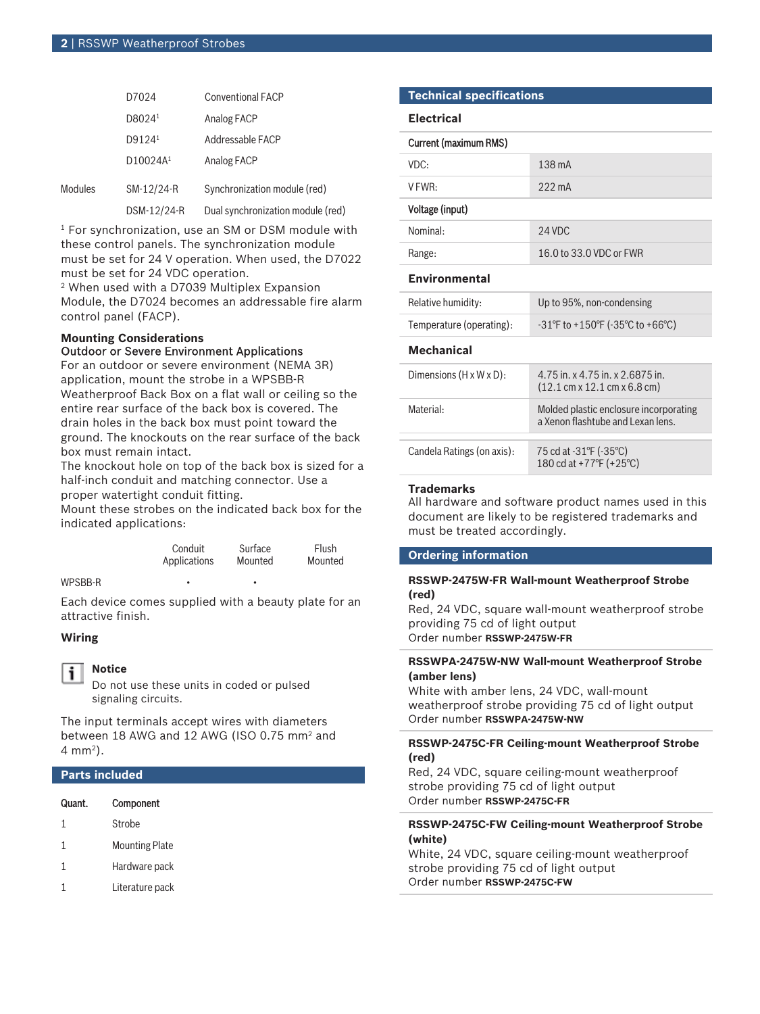|         | D7024                | <b>Conventional FACP</b>          |
|---------|----------------------|-----------------------------------|
|         | D8024 <sup>1</sup>   | Analog FACP                       |
|         | D9124 <sup>1</sup>   | Addressable FACP                  |
|         | D10024A <sup>1</sup> | Analog FACP                       |
| Modules | SM-12/24-R           | Synchronization module (red)      |
|         | DSM-12/24-R          | Dual synchronization module (red) |

 $^1$  For synchronization, use an SM or DSM module with these control panels. The synchronization module must be set for 24 V operation. When used, the D7022 must be set for 24 VDC operation.

2 When used with a D7039 Multiplex Expansion Module, the D7024 becomes an addressable fire alarm control panel (FACP).

#### **Mounting Considerations** Outdoor or Severe Environment Applications

For an outdoor or severe environment (NEMA 3R) application, mount the strobe in a WPSBB‑R Weatherproof Back Box on a flat wall or ceiling so the entire rear surface of the back box is covered. The drain holes in the back box must point toward the ground. The knockouts on the rear surface of the back box must remain intact.

The knockout hole on top of the back box is sized for a half-inch conduit and matching connector. Use a proper watertight conduit fitting.

Mount these strobes on the indicated back box for the indicated applications:

| Conduit      | Surface | Flush   |
|--------------|---------|---------|
| Applications | Mounted | Mounted |

#### WPSBB-R

Each device comes supplied with a beauty plate for an attractive finish.

### **Wiring**

#### **Notice** i

Do not use these units in coded or pulsed signaling circuits.

The input terminals accept wires with diameters between 18 AWG and 12 AWG (ISO 0.75 mm<sup>2</sup> and 4 mm<sup>2</sup> ).

#### **Parts included**

| Quant. | Component |
|--------|-----------|
|--------|-----------|

- 1 Mounting Plate
- 1 Hardware pack
- 1 Literature pack

#### **Technical specifications**

**Electrical**

| Current (maximum RMS)                |                                                                                                      |  |
|--------------------------------------|------------------------------------------------------------------------------------------------------|--|
| VDC:                                 | 138 mA                                                                                               |  |
| $V$ FWR:                             | $222 \text{ mA}$                                                                                     |  |
| Voltage (input)                      |                                                                                                      |  |
| Nominal:                             | 24 VDC                                                                                               |  |
| Range:                               | 16.0 to 33.0 VDC or FWR                                                                              |  |
| <b>Environmental</b>                 |                                                                                                      |  |
| Relative humidity:                   | Up to 95%, non-condensing                                                                            |  |
| Temperature (operating):             | $-31^{\circ}$ F to $+150^{\circ}$ F ( $-35^{\circ}$ C to $+66^{\circ}$ C)                            |  |
| Mechanical                           |                                                                                                      |  |
| Dimensions $(H \times W \times D)$ : | 4.75 in, x 4.75 in, x 2.6875 in.<br>$(12.1 \text{ cm} \times 12.1 \text{ cm} \times 6.8 \text{ cm})$ |  |
| Material:                            | Molded plastic enclosure incorporating<br>a Xenon flashtube and Lexan lens.                          |  |
| Candela Ratings (on axis):           | 75 cd at -31°F (-35°C)<br>180 cd at +77°F (+25°C)                                                    |  |

#### **Trademarks**

All hardware and software product names used in this document are likely to be registered trademarks and must be treated accordingly.

#### **Ordering information**

#### **RSSWP‑2475W‑FR Wall‑mount Weatherproof Strobe (red)**

Red, 24 VDC, square wall-mount weatherproof strobe providing 75 cd of light output Order number **RSSWP-2475W-FR**

#### **RSSWPA‑2475W‑NW Wall‑mount Weatherproof Strobe (amber lens)**

White with amber lens, 24 VDC, wall-mount weatherproof strobe providing 75 cd of light output Order number **RSSWPA-2475W-NW**

#### **RSSWP‑2475C‑FR Ceiling‑mount Weatherproof Strobe (red)**

Red, 24 VDC, square ceiling‑mount weatherproof strobe providing 75 cd of light output Order number **RSSWP-2475C-FR**

#### **RSSWP‑2475C‑FW Ceiling‑mount Weatherproof Strobe (white)**

White, 24 VDC, square ceiling‑mount weatherproof strobe providing 75 cd of light output Order number **RSSWP-2475C-FW**